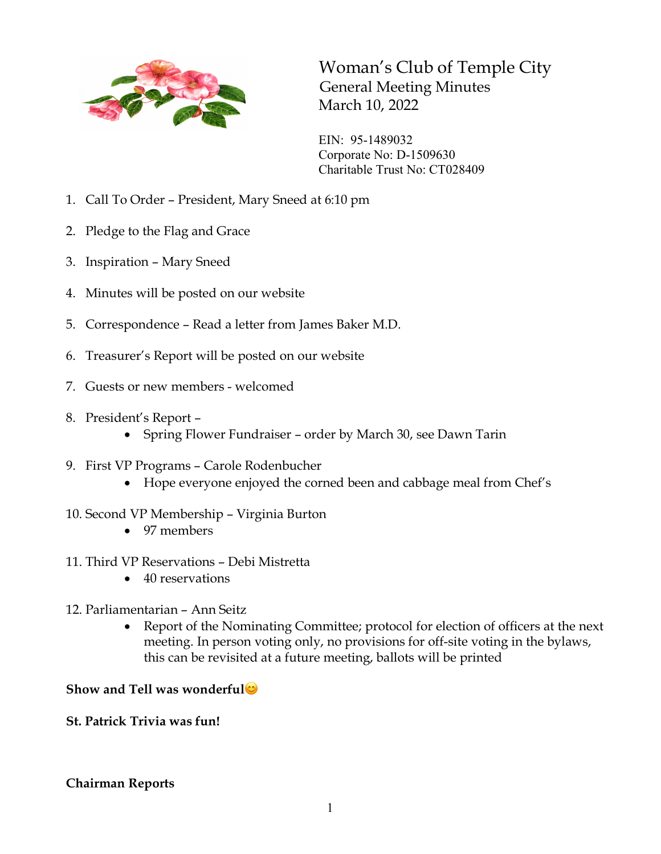

Woman's Club of Temple City General Meeting Minutes March 10, 2022

EIN: 95-1489032 Corporate No: D-1509630 Charitable Trust No: CT028409

- 1. Call To Order President, Mary Sneed at 6:10 pm
- 2. Pledge to the Flag and Grace
- 3. Inspiration Mary Sneed
- 4. Minutes will be posted on our website
- 5. Correspondence Read a letter from James Baker M.D.
- 6. Treasurer's Report will be posted on our website
- 7. Guests or new members welcomed
- 8. President's Report
	- Spring Flower Fundraiser order by March 30, see Dawn Tarin
- 9. First VP Programs Carole Rodenbucher
	- Hope everyone enjoyed the corned been and cabbage meal from Chef's
- 10. Second VP Membership Virginia Burton
	- 97 members
- 11. Third VP Reservations Debi Mistretta
	- 40 reservations
- 12. Parliamentarian Ann Seitz
	- Report of the Nominating Committee; protocol for election of officers at the next meeting. In person voting only, no provisions for off-site voting in the bylaws, this can be revisited at a future meeting, ballots will be printed

## **Show and Tell was wonderful**

**St. Patrick Trivia was fun!**

## **Chairman Reports**